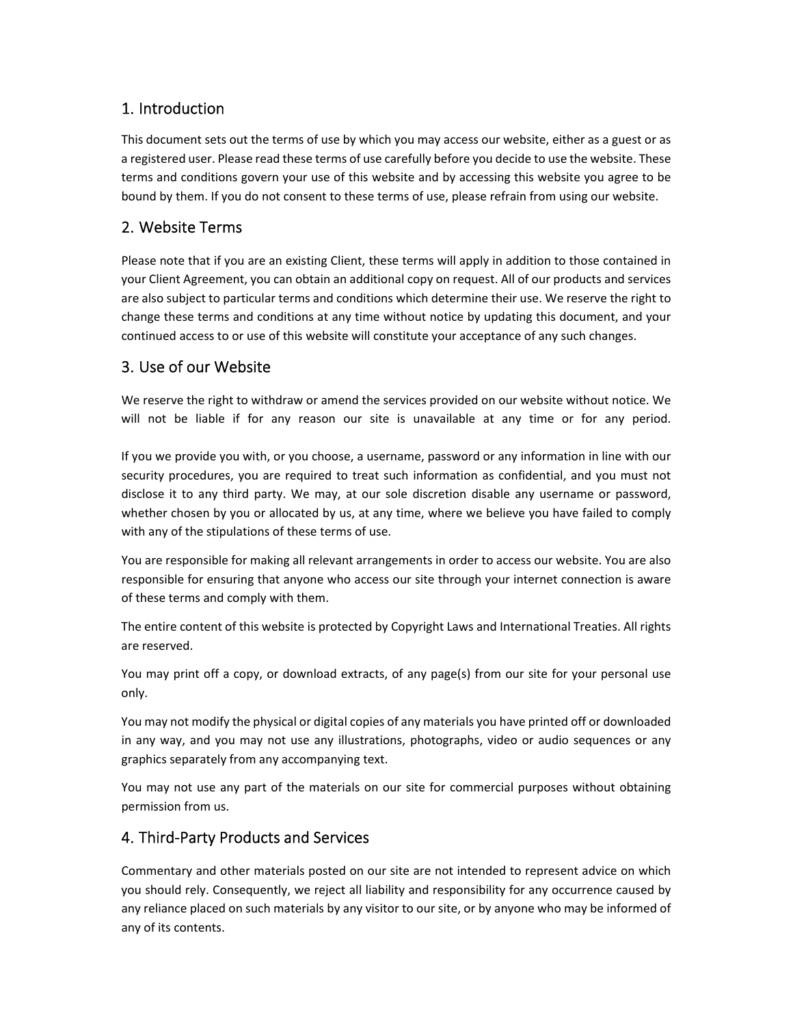## 1. Introduction

This document sets out the terms of use by which you may access our website, either as a guest or as a registered user. Please read these terms of use carefully before you decide to use the website. These terms and conditions govern your use of this website and by accessing this website you agree to be bound by them. If you do not consent to these terms of use, please refrain from using our website.

#### 2. Website Terms

Please note that if you are an existing Client, these terms will apply in addition to those contained in your Client Agreement, you can obtain an additional copy on request. All of our products and services are also subject to particular terms and conditions which determine their use. We reserve the right to change these terms and conditions at any time without notice by updating this document, and your continued access to or use of this website will constitute your acceptance of any such changes.

#### 3. Use of our Website

We reserve the right to withdraw or amend the services provided on our website without notice. We will not be liable if for any reason our site is unavailable at any time or for any period.

If you we provide you with, or you choose, a username, password or any information in line with our security procedures, you are required to treat such information as confidential, and you must not disclose it to any third party. We may, at our sole discretion disable any username or password, whether chosen by you or allocated by us, at any time, where we believe you have failed to comply with any of the stipulations of these terms of use.

You are responsible for making all relevant arrangements in order to access our website. You are also responsible for ensuring that anyone who access our site through your internet connection is aware of these terms and comply with them.

The entire content of this website is protected by Copyright Laws and International Treaties. All rights are reserved.

You may print off a copy, or download extracts, of any page(s) from our site for your personal use only.

You may not modify the physical or digital copies of any materials you have printed off or downloaded in any way, and you may not use any illustrations, photographs, video or audio sequences or any graphics separately from any accompanying text.

You may not use any part of the materials on our site for commercial purposes without obtaining permission from us.

#### 4. Third‐Party Products and Services

Commentary and other materials posted on our site are not intended to represent advice on which you should rely. Consequently, we reject all liability and responsibility for any occurrence caused by any reliance placed on such materials by any visitor to our site, or by anyone who may be informed of any of its contents.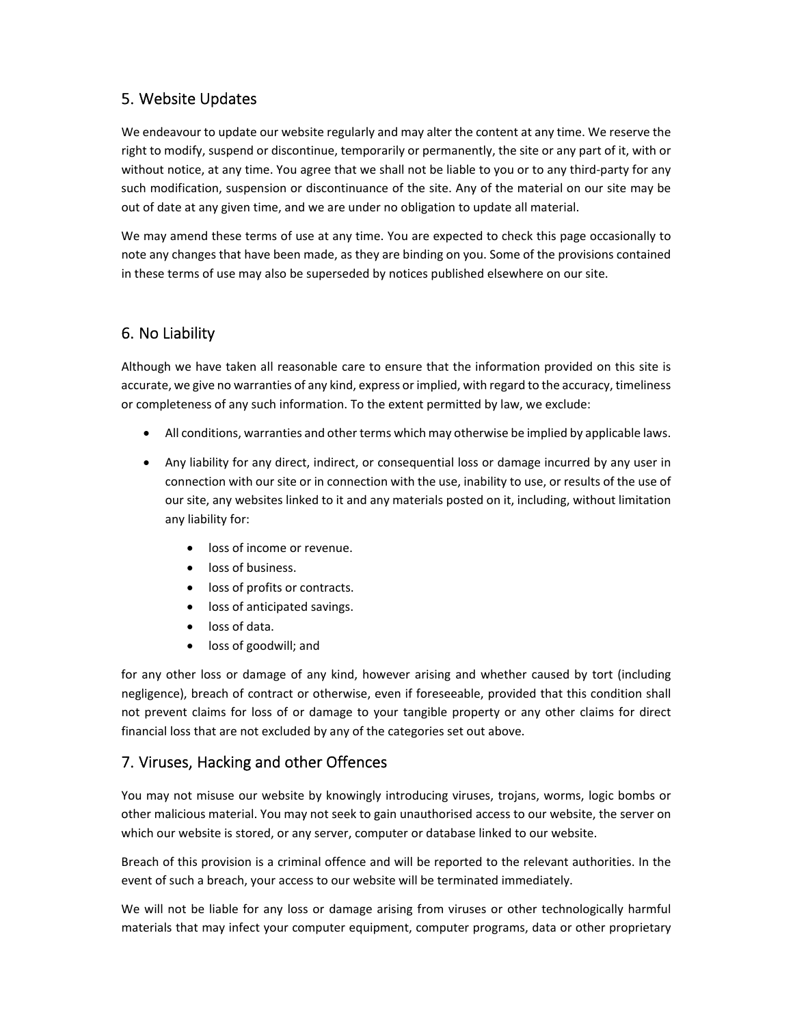### 5. Website Updates

We endeavour to update our website regularly and may alter the content at any time. We reserve the right to modify, suspend or discontinue, temporarily or permanently, the site or any part of it, with or without notice, at any time. You agree that we shall not be liable to you or to any third‐party for any such modification, suspension or discontinuance of the site. Any of the material on our site may be out of date at any given time, and we are under no obligation to update all material.

We may amend these terms of use at any time. You are expected to check this page occasionally to note any changes that have been made, as they are binding on you. Some of the provisions contained in these terms of use may also be superseded by notices published elsewhere on our site.

### 6. No Liability

Although we have taken all reasonable care to ensure that the information provided on this site is accurate, we give no warranties of any kind, express or implied, with regard to the accuracy, timeliness or completeness of any such information. To the extent permitted by law, we exclude:

- All conditions, warranties and other terms which may otherwise be implied by applicable laws.
- Any liability for any direct, indirect, or consequential loss or damage incurred by any user in connection with our site or in connection with the use, inability to use, or results of the use of our site, any websites linked to it and any materials posted on it, including, without limitation any liability for:
	- loss of income or revenue.
	- loss of business.
	- **.** loss of profits or contracts.
	- **.** loss of anticipated savings.
	- loss of data.
	- loss of goodwill; and

for any other loss or damage of any kind, however arising and whether caused by tort (including negligence), breach of contract or otherwise, even if foreseeable, provided that this condition shall not prevent claims for loss of or damage to your tangible property or any other claims for direct financial loss that are not excluded by any of the categories set out above.

#### 7. Viruses, Hacking and other Offences

You may not misuse our website by knowingly introducing viruses, trojans, worms, logic bombs or other malicious material. You may not seek to gain unauthorised access to our website, the server on which our website is stored, or any server, computer or database linked to our website.

Breach of this provision is a criminal offence and will be reported to the relevant authorities. In the event of such a breach, your access to our website will be terminated immediately.

We will not be liable for any loss or damage arising from viruses or other technologically harmful materials that may infect your computer equipment, computer programs, data or other proprietary